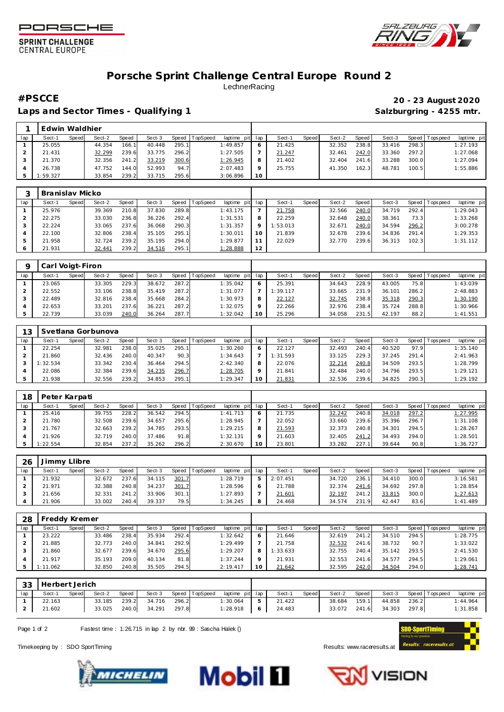



## **SPRINT CHALLENGE CENTRAL EUROPE**

## **Porsche Sprint Challenge Central Europe Round 2 LechnerRacing**

Laps and Sector Times - Qualifying 1 **Salzburgring - 4255 mtr.** Salzburgring - 4255 mtr.

**#PSCCE 20 - 23 August 2020**

|     | Edwin Waldhier |       |        |       |        |       |          |                 |                 |        |       |        |       |        |       |           |            |
|-----|----------------|-------|--------|-------|--------|-------|----------|-----------------|-----------------|--------|-------|--------|-------|--------|-------|-----------|------------|
| lap | Sect-1         | Speed | Sect-2 | Speed | Sect-3 | Speed | TopSpeed | laptime pit lap |                 | Sect-1 | Speed | Sect-2 | Speed | Sect-3 | Speed | Tops peed | laptime pi |
|     | 25.055         |       | 44.354 | 166.1 | 40.448 | 295.1 |          | 1:49.857        |                 | 21.425 |       | 32.352 | 238.8 | 33.416 | 298.3 |           | 1:27.193   |
|     | 21.431         |       | 32.299 | 239.6 | 33.775 | 296.2 |          | 1:27.505        |                 | 21.247 |       | 32.461 | 242.0 | 33.360 | 297.2 |           | 1:27.068   |
|     | 21.370         |       | 32.356 | 241.2 | 33.219 | 300.6 |          | 1:26.945        |                 | 21.402 |       | 32.404 | 241.6 | 33.288 | 300.0 |           | 1:27.094   |
|     | 26.738         |       | 47.752 | 144.0 | 52.993 | 94.7  |          | 2:07.483        |                 | 25.755 |       | 41.350 | 162.3 | 48.781 | 100.5 |           | 1:55.886   |
|     | 1:59.327       |       | 33.854 | 239.2 | 33.715 | 295.6 |          | 3:06.896        | 10 <sup>°</sup> |        |       |        |       |        |       |           |            |

|     | Branislav Micko |       |        |       |        |       |          |                 |         |          |       |        |         |        |       |                 |             |
|-----|-----------------|-------|--------|-------|--------|-------|----------|-----------------|---------|----------|-------|--------|---------|--------|-------|-----------------|-------------|
| lap | Sect-1          | Speed | Sect-2 | Speed | Sect-3 | Speed | TopSpeed | laptime pit lap |         | Sect-1   | Speed | Sect-2 | Speed I | Sect-3 |       | Speed Tops peed | laptime pit |
|     | 25.976          |       | 39.369 | 210.8 | 37.830 | 289.8 |          | 1:43.175        |         | 21.758   |       | 32.566 | 240.0   | 34.719 | 292.4 |                 | 1:29.043    |
|     | 22.275          |       | 33.030 | 236.8 | 36.226 | 292.4 |          | 1:31.531        | 8       | 22.259   |       | 32.648 | 240.0   | 38.361 | 73.3  |                 | 1:33.268    |
|     | 22.224          |       | 33.065 | 237.6 | 36.068 | 290.3 |          | 1:31.357        | $\circ$ | 1:53.013 |       | 32.671 | 240.0   | 34.594 | 296.2 |                 | 3:00.278    |
|     | 22.100          |       | 32.806 | 238.4 | 35.105 | 295.1 |          | 1:30.011        | 10      | 21.839   |       | 32.678 | 239.6   | 34.836 | 291.4 |                 | 1:29.353    |
|     | 21.958          |       | 32.724 | 239.2 | 35.195 | 294.0 |          | 1:29.877        |         | 22.029   |       | 32.770 | 239.6   | 36.313 | 102.3 |                 | 1:31.112    |
| 6   | 21.931          |       | 32.441 | 239.2 | 34.516 | 295.1 |          | 1:28.888        | 12      |          |       |        |         |        |       |                 |             |

|     | Carl Voigt-Firon |       |        |       |        |       |                |             |          |          |       |        |              |        |         |                   |             |
|-----|------------------|-------|--------|-------|--------|-------|----------------|-------------|----------|----------|-------|--------|--------------|--------|---------|-------------------|-------------|
| lap | Sect-1           | Speed | Sect-2 | Speed | Sect-3 |       | Speed TopSpeed | laptime pit | lap      | Sect-1   | Speed | Sect-2 | <b>Speed</b> | Sect-3 | Speed I | <b>T</b> ops peed | laptime pit |
|     | 23.065           |       | 33.305 | 229.3 | 38.672 | 287.2 |                | 1:35.042    | 6        | 25.391   |       | 34.643 | 228.9        | 43.005 | 75.8    |                   | 1:43.039    |
|     | 22.552           |       | 33.106 | 238.8 | 35.419 | 287.2 |                | 1:31.077    |          | 1:39.117 |       | 33.665 | 231.9        | 36.101 | 286.2   |                   | 2:48.883    |
|     | 22.489           |       | 32.816 | 238.4 | 35.668 | 284.2 |                | 1:30.973    | 8        | 22.127   |       | 32.745 | 238.8        | 35.318 | 290.3   |                   | 1:30.190    |
|     | 22.653           |       | 33.201 | 237.6 | 36.221 | 287.2 |                | 1:32.075    | $\Omega$ | 22.266   |       | 32.976 | 238.4        | 35.724 | 288.8   |                   | 1:30.966    |
|     | 22.739           |       | 33.039 | 240.0 | 36.264 | 287.7 |                | 1:32.042    | 10       | 25.296   |       | 34.058 | 231.5        | 42.197 | 88.2    |                   | 1:41.551    |

| 13  |          |       | Svetlana Gorbunova |       |        |       |                 |             |     |          |       |        |         |        |       |                 |             |
|-----|----------|-------|--------------------|-------|--------|-------|-----------------|-------------|-----|----------|-------|--------|---------|--------|-------|-----------------|-------------|
| lap | Sect-1   | Speed | Sect-2             | Speed | Sect-3 | Speed | <b>TopSpeed</b> | laptime pit | lap | Sect-1   | Speed | Sect-2 | Speed I | Sect-3 |       | Speed Tops peed | laptime pit |
|     | 22.254   |       | 32.981             | 238.0 | 35.025 | 295.1 |                 | 1:30.260    |     | 22.127   |       | 32.493 | 240.4   | 40.520 | 97.9  |                 | 1:35.140    |
|     | 21.860   |       | 32.436             | 240.0 | 40.347 | 90.3  |                 | 1:34.643    |     | 1:31.593 |       | 33.125 | 229.3   | 37.245 | 291.4 |                 | 2:41.963    |
|     | : 32.534 |       | 33.342             | 230.4 | 36.464 | 294.5 |                 | 2:42.340    |     | 22.076   |       | 32.214 | 240.8   | 34.509 | 293.5 |                 | 1:28.799    |
|     | 22.086   |       | 32.384             | 239.6 | 34.235 | 296.7 |                 | 1:28.705    |     | 21.841   |       | 32.484 | 240.0   | 34.796 | 293.5 |                 | 1:29.121    |
|     | 21.938   |       | 32.556             | 239.2 | 34.853 | 295.1 |                 | 1:29.347    |     | 21.831   |       | 32.536 | 239.6   | 34.825 | 290.3 |                 | 1:29.192    |

| 18  | Peter Karpati |       |        |              |        |       |                |             |         |        |              |        |       |        |       |           |                 |
|-----|---------------|-------|--------|--------------|--------|-------|----------------|-------------|---------|--------|--------------|--------|-------|--------|-------|-----------|-----------------|
| lap | Sect-1        | Speed | Sect-2 | <b>Speed</b> | Sect-3 |       | Speed TopSpeed | laptime pit | lap     | Sect-  | <b>Speed</b> | Sect-2 | Speed | Sect-3 | Speed | Tops peed | laptime pit     |
|     | 25.416        |       | 39.755 | 228.2        | 36.542 | 294.5 |                | 1:41.713    | O       | 21.735 |              | 32.242 | 240.8 | 34.018 | 297.2 |           | <u>1:27.995</u> |
|     | 21.780        |       | 32.508 | 239.6        | 34.657 | 295.6 |                | 1:28.945    |         | 22.052 |              | 33.660 | 239.6 | 35.396 | 296.7 |           | 1:31.108        |
|     | 21.767        |       | 32.663 | 239.2        | 34.785 | 293.5 |                | 1:29.215    | 8       | 21.593 |              | 32.373 | 240.8 | 34.301 | 294.5 |           | 1:28.267        |
|     | 21.926        |       | 32.719 | 240.0        | 37.486 | 91.8  |                | 1:32.131    | $\circ$ | 21.603 |              | 32.405 | 241.2 | 34.493 | 294.0 |           | 1:28.501        |
|     | 1:22.554      |       | 32.854 | 237.2        | 35.262 | 296.2 |                | 2:30.670    | 10      | 23.801 |              | 33.282 | 227   | 39.644 | 90.8  |           | 1:36.727        |

| 26  | Jimmy Llibre |       |        |       |        |       |          |                 |                |          |       |        |       |        |       |                 |             |
|-----|--------------|-------|--------|-------|--------|-------|----------|-----------------|----------------|----------|-------|--------|-------|--------|-------|-----------------|-------------|
| lap | Sect-1       | Speed | Sect-2 | Speed | Sect-3 | Speed | TopSpeed | laptime pit lap |                | Sect-1   | Speed | Sect-2 | Speed | Sect-3 |       | Speed Tops peed | laptime pit |
|     | 21.932       |       | 32.672 | 237.6 | 34.115 | 301.7 |          | 1:28.719        | 5 <sub>1</sub> | 2:07.451 |       | 34.720 | 236.1 | 34.410 | 300.0 |                 | 3:16.581    |
|     | 21.971       |       | 32.388 | 240.8 | 34.237 | 301.7 |          | 1:28.596        | 6              | 21.788   |       | 32.374 | 241.6 | 34.692 | 297.8 |                 | 1:28.854    |
|     | 21.656       |       | 32.331 | 241.2 | 33.906 | 301.1 |          | 1:27.893        |                | 21.601   |       | 32.197 | 241.2 | 33.815 | 300.0 |                 | 1:27.613    |
|     | 21.906       |       | 33.002 | 240.4 | 39.337 | 79.5  |          | 1:34.245        | 8              | 24.468   |       | 34.574 | 231.9 | 42.447 | 83.6  |                 | 1:41.489    |

| 28  | Freddy Kremer |       |        |       |        |       |                 |                 |          |       |        |       |        |       |                 |             |
|-----|---------------|-------|--------|-------|--------|-------|-----------------|-----------------|----------|-------|--------|-------|--------|-------|-----------------|-------------|
| lap | Sect-1        | Speed | Sect-2 | Speed | Sect-3 | Speed | <b>TopSpeed</b> | laptime pit lap | Sect-1   | Speed | Sect-2 | Speed | Sect-3 |       | Speed Tops peed | laptime pit |
|     | 23.222        |       | 33.486 | 238.4 | 35.934 | 292.4 |                 | 1:32.642        | 21.646   |       | 32.619 | 241   | 34.510 | 294.5 |                 | 1:28.775    |
|     | 21.885        |       | 32.773 | 240.0 | 34.841 | 292.9 |                 | 1:29.499        | 21.758   |       | 32.532 | 241.6 | 38.732 | 90.7  |                 | 1:33.022    |
|     | 21.860        |       | 32.677 | 239.6 | 34.670 | 295.6 |                 | 1:29.207        | 1:33.633 |       | 32.755 | 240.4 | 35.142 | 293.5 |                 | 2:41.530    |
|     | 21.917        |       | 35.193 | 209.0 | 40.134 | 81.8  |                 | 1:37.244        | 21.931   |       | 32.553 | 241.6 | 34.577 | 294.5 |                 | 1:29.061    |
|     | 1:11.062      |       | 32.850 | 240.8 | 35.505 | 294.5 |                 | 2:19.417        | 21.642   |       | 32.595 | 242.0 | 34.504 | 294.0 |                 | 1:28.741    |

| 33  | Herbert Jerich |       |        |       |                    |       |                |                 |   |                     |       |        |         |                           |                       |             |
|-----|----------------|-------|--------|-------|--------------------|-------|----------------|-----------------|---|---------------------|-------|--------|---------|---------------------------|-----------------------|-------------|
| lap | Sect-1         | Speed | Sect-2 | Speed | Sect-3             |       | Speed TopSpeed | laptime pit lap |   | Sect-1              | Speed | Sect-2 | Speed I |                           | Sect-3 Speed Topspeed | laptime pit |
|     | 22.163         |       | 33.185 | 239.2 | 34.716             | 296.2 |                | 1:30.064        | 5 | 21.422              |       | 38.684 | 159.11  | 44.858 236.2              |                       | 1:44.964    |
|     | 21.602         |       | 33.025 |       | 240.0 34.291 297.8 |       |                |                 |   | $1:28.918$ 6 24.483 |       |        |         | 33.072 241.6 34.303 297.8 |                       | 1:31.858    |

Page 1 of 2 Fastest time : 1:26.715 in lap 2 by nbr. 99 : Sascha Halek ()

Timekeeping by : SDO SportTiming **Results: WWW.raceresults.at**